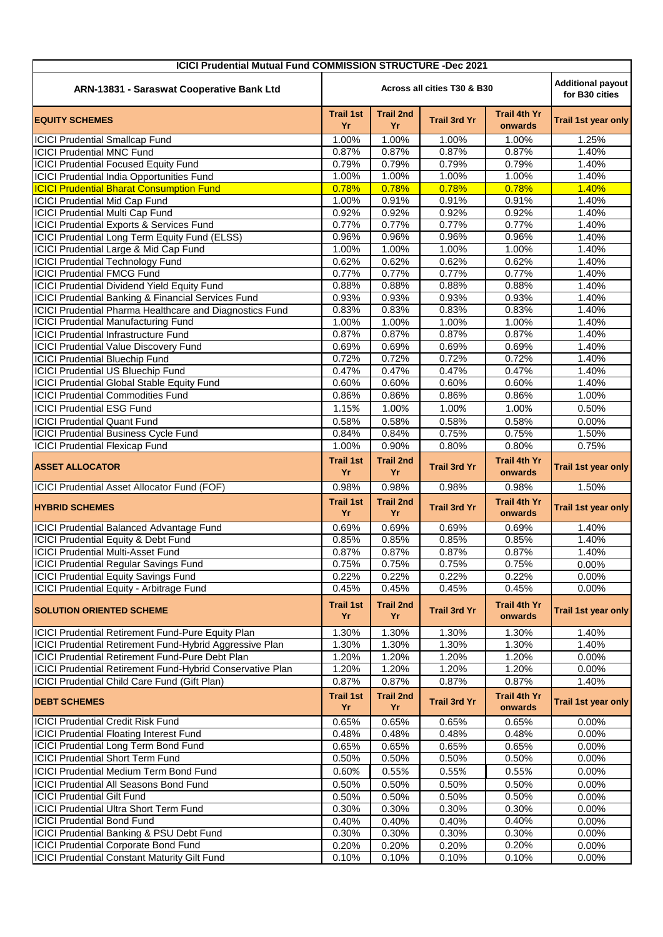| <b>ICICI Prudential Mutual Fund COMMISSION STRUCTURE -Dec 2021</b> |                                                                           |                        |                     |                                |                     |  |  |  |
|--------------------------------------------------------------------|---------------------------------------------------------------------------|------------------------|---------------------|--------------------------------|---------------------|--|--|--|
| ARN-13831 - Saraswat Cooperative Bank Ltd                          | <b>Additional payout</b><br>Across all cities T30 & B30<br>for B30 cities |                        |                     |                                |                     |  |  |  |
| <b>EQUITY SCHEMES</b>                                              | <b>Trail 1st</b><br>Yr                                                    | <b>Trail 2nd</b><br>Yr | <b>Trail 3rd Yr</b> | <b>Trail 4th Yr</b><br>onwards | Trail 1st year only |  |  |  |
| <b>ICICI Prudential Smallcap Fund</b>                              | 1.00%                                                                     | $\overline{1.00\%}$    | 1.00%               | 1.00%                          | 1.25%               |  |  |  |
| <b>ICICI Prudential MNC Fund</b>                                   | 0.87%                                                                     | 0.87%                  | 0.87%               | 0.87%                          | 1.40%               |  |  |  |
| <b>ICICI Prudential Focused Equity Fund</b>                        | 0.79%                                                                     | 0.79%                  | 0.79%               | 0.79%                          | 1.40%               |  |  |  |
| <b>ICICI Prudential India Opportunities Fund</b>                   | 1.00%                                                                     | 1.00%                  | 1.00%               | 1.00%                          | 1.40%               |  |  |  |
| <b>ICICI Prudential Bharat Consumption Fund</b>                    | 0.78%                                                                     | 0.78%                  | 0.78%               | 0.78%                          | 1.40%               |  |  |  |
| <b>ICICI Prudential Mid Cap Fund</b>                               | 1.00%                                                                     | 0.91%                  | 0.91%               | 0.91%                          | 1.40%               |  |  |  |
| <b>ICICI Prudential Multi Cap Fund</b>                             | 0.92%                                                                     | 0.92%                  | 0.92%               | 0.92%                          | 1.40%               |  |  |  |
| ICICI Prudential Exports & Services Fund                           | 0.77%                                                                     | 0.77%                  | 0.77%               | 0.77%                          | 1.40%               |  |  |  |
| ICICI Prudential Long Term Equity Fund (ELSS)                      | 0.96%                                                                     | 0.96%                  | 0.96%               | 0.96%                          | 1.40%               |  |  |  |
| <b>ICICI Prudential Large &amp; Mid Cap Fund</b>                   | 1.00%                                                                     | 1.00%                  | 1.00%               | 1.00%                          | 1.40%               |  |  |  |
| <b>ICICI Prudential Technology Fund</b>                            | 0.62%                                                                     | 0.62%                  | 0.62%               | 0.62%                          | 1.40%               |  |  |  |
| <b>ICICI Prudential FMCG Fund</b>                                  | 0.77%                                                                     | 0.77%                  | 0.77%               | 0.77%                          | 1.40%               |  |  |  |
| <b>ICICI Prudential Dividend Yield Equity Fund</b>                 | 0.88%                                                                     | 0.88%                  | 0.88%               | 0.88%                          | 1.40%               |  |  |  |
| ICICI Prudential Banking & Financial Services Fund                 | 0.93%                                                                     | 0.93%                  | 0.93%               | 0.93%                          | 1.40%               |  |  |  |
| ICICI Prudential Pharma Healthcare and Diagnostics Fund            | 0.83%                                                                     | 0.83%                  | 0.83%               | 0.83%                          | 1.40%               |  |  |  |
| <b>ICICI Prudential Manufacturing Fund</b>                         | 1.00%                                                                     | 1.00%                  | 1.00%               | 1.00%                          | 1.40%               |  |  |  |
| <b>ICICI Prudential Infrastructure Fund</b>                        | 0.87%                                                                     | 0.87%                  | 0.87%               | 0.87%                          | 1.40%               |  |  |  |
| <b>ICICI Prudential Value Discovery Fund</b>                       | 0.69%                                                                     | 0.69%                  | 0.69%               | 0.69%                          | 1.40%               |  |  |  |
| <b>ICICI Prudential Bluechip Fund</b>                              | 0.72%                                                                     | 0.72%                  | 0.72%               | 0.72%                          | 1.40%               |  |  |  |
| <b>ICICI Prudential US Bluechip Fund</b>                           | 0.47%                                                                     | 0.47%                  | 0.47%               | 0.47%                          | 1.40%               |  |  |  |
| <b>ICICI Prudential Global Stable Equity Fund</b>                  | 0.60%                                                                     | 0.60%                  | 0.60%               | 0.60%                          | 1.40%               |  |  |  |
| <b>ICICI Prudential Commodities Fund</b>                           | 0.86%                                                                     | 0.86%                  | 0.86%               | 0.86%                          | 1.00%               |  |  |  |
| <b>ICICI Prudential ESG Fund</b>                                   | 1.15%                                                                     | 1.00%                  | 1.00%               | 1.00%                          | 0.50%               |  |  |  |
| <b>ICICI Prudential Quant Fund</b>                                 | 0.58%                                                                     | 0.58%                  | 0.58%               | 0.58%                          | 0.00%               |  |  |  |
| <b>ICICI Prudential Business Cycle Fund</b>                        | 0.84%                                                                     | 0.84%                  | 0.75%               | 0.75%                          | 1.50%               |  |  |  |
| <b>ICICI Prudential Flexicap Fund</b>                              | 1.00%                                                                     | 0.90%                  | 0.80%               | 0.80%                          | 0.75%               |  |  |  |
| <b>ASSET ALLOCATOR</b>                                             | <b>Trail 1st</b><br>Yr                                                    | <b>Trail 2nd</b><br>Yr | <b>Trail 3rd Yr</b> | Trail 4th Yr<br>onwards        | Trail 1st year only |  |  |  |
| ICICI Prudential Asset Allocator Fund (FOF)                        | 0.98%                                                                     | 0.98%                  | 0.98%               | 0.98%                          | 1.50%               |  |  |  |
| <b>HYBRID SCHEMES</b>                                              | <b>Trail 1st</b><br>Yr                                                    | <b>Trail 2nd</b><br>Yr | <b>Trail 3rd Yr</b> | <b>Trail 4th Yr</b><br>onwards | Trail 1st year only |  |  |  |
| ICICI Prudential Balanced Advantage Fund                           | 0.69%                                                                     | 0.69%                  | 0.69%               | 0.69%                          | 1.40%               |  |  |  |
| ICICI Prudential Equity & Debt Fund                                | 0.85%                                                                     | 0.85%                  | 0.85%               | 0.85%                          | 1.40%               |  |  |  |
| <b>ICICI Prudential Multi-Asset Fund</b>                           | 0.87%                                                                     | 0.87%                  | 0.87%               | 0.87%                          | 1.40%               |  |  |  |
| <b>ICICI Prudential Regular Savings Fund</b>                       | 0.75%                                                                     | 0.75%                  | 0.75%               | 0.75%                          | 0.00%               |  |  |  |
| <b>ICICI Prudential Equity Savings Fund</b>                        | 0.22%                                                                     | 0.22%                  | 0.22%               | 0.22%                          | 0.00%               |  |  |  |
| ICICI Prudential Equity - Arbitrage Fund                           | 0.45%                                                                     | 0.45%                  | 0.45%               | 0.45%                          | 0.00%               |  |  |  |
| <b>SOLUTION ORIENTED SCHEME</b>                                    | <b>Trail 1st</b><br>Yr                                                    | <b>Trail 2nd</b><br>Yr | <b>Trail 3rd Yr</b> | <b>Trail 4th Yr</b><br>onwards | Trail 1st year only |  |  |  |
| <b>ICICI Prudential Retirement Fund-Pure Equity Plan</b>           | 1.30%                                                                     | 1.30%                  | 1.30%               | 1.30%                          | 1.40%               |  |  |  |
| ICICI Prudential Retirement Fund-Hybrid Aggressive Plan            | 1.30%                                                                     | 1.30%                  | 1.30%               | 1.30%                          | 1.40%               |  |  |  |
| ICICI Prudential Retirement Fund-Pure Debt Plan                    | 1.20%                                                                     | 1.20%                  | 1.20%               | 1.20%                          | 0.00%               |  |  |  |
| ICICI Prudential Retirement Fund-Hybrid Conservative Plan          | 1.20%                                                                     | 1.20%                  | 1.20%               | 1.20%                          | 0.00%               |  |  |  |
| ICICI Prudential Child Care Fund (Gift Plan)                       | 0.87%                                                                     | 0.87%                  | 0.87%               | 0.87%                          | 1.40%               |  |  |  |
| <b>DEBT SCHEMES</b>                                                | <b>Trail 1st</b><br>Yr                                                    | <b>Trail 2nd</b><br>Yr | <b>Trail 3rd Yr</b> | <b>Trail 4th Yr</b><br>onwards | Trail 1st year only |  |  |  |
| <b>ICICI Prudential Credit Risk Fund</b>                           | 0.65%                                                                     | 0.65%                  | 0.65%               | 0.65%                          | 0.00%               |  |  |  |
| <b>ICICI Prudential Floating Interest Fund</b>                     | 0.48%                                                                     | 0.48%                  | 0.48%               | 0.48%                          | 0.00%               |  |  |  |
| <b>ICICI Prudential Long Term Bond Fund</b>                        | 0.65%                                                                     | 0.65%                  | 0.65%               | 0.65%                          | 0.00%               |  |  |  |
| <b>ICICI Prudential Short Term Fund</b>                            | 0.50%                                                                     | 0.50%                  | 0.50%               | 0.50%                          | 0.00%               |  |  |  |
| ICICI Prudential Medium Term Bond Fund                             | 0.60%                                                                     | 0.55%                  | 0.55%               | 0.55%                          | 0.00%               |  |  |  |
| <b>ICICI Prudential All Seasons Bond Fund</b>                      | 0.50%                                                                     | 0.50%                  | 0.50%               | 0.50%                          | 0.00%               |  |  |  |
| <b>ICICI Prudential Gilt Fund</b>                                  | 0.50%                                                                     | 0.50%                  | 0.50%               | 0.50%                          | 0.00%               |  |  |  |
| <b>ICICI Prudential Ultra Short Term Fund</b>                      | 0.30%                                                                     | 0.30%                  | 0.30%               | 0.30%                          | 0.00%               |  |  |  |
| <b>ICICI Prudential Bond Fund</b>                                  | 0.40%                                                                     | 0.40%                  | 0.40%               | 0.40%                          | 0.00%               |  |  |  |
| ICICI Prudential Banking & PSU Debt Fund                           | 0.30%                                                                     | 0.30%                  | 0.30%               | 0.30%                          | 0.00%               |  |  |  |
| <b>ICICI Prudential Corporate Bond Fund</b>                        | 0.20%                                                                     | 0.20%                  | 0.20%               | 0.20%                          | 0.00%               |  |  |  |
| <b>ICICI Prudential Constant Maturity Gilt Fund</b>                | 0.10%                                                                     | 0.10%                  | 0.10%               | 0.10%                          | 0.00%               |  |  |  |